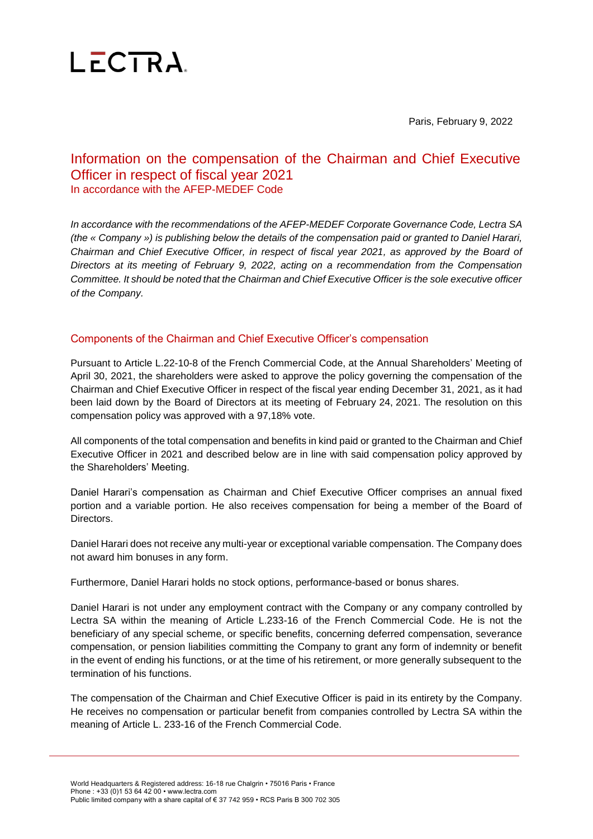

Paris, February 9, 2022

# Information on the compensation of the Chairman and Chief Executive Officer in respect of fiscal year 2021 In accordance with the AFEP-MEDEF Code

*In accordance with the recommendations of the AFEP-MEDEF Corporate Governance Code, Lectra SA (the « Company ») is publishing below the details of the compensation paid or granted to Daniel Harari, Chairman and Chief Executive Officer, in respect of fiscal year 2021, as approved by the Board of Directors at its meeting of February 9, 2022, acting on a recommendation from the Compensation Committee. It should be noted that the Chairman and Chief Executive Officer is the sole executive officer of the Company.*

### Components of the Chairman and Chief Executive Officer's compensation

Pursuant to Article L.22-10-8 of the French Commercial Code, at the Annual Shareholders' Meeting of April 30, 2021, the shareholders were asked to approve the policy governing the compensation of the Chairman and Chief Executive Officer in respect of the fiscal year ending December 31, 2021, as it had been laid down by the Board of Directors at its meeting of February 24, 2021. The resolution on this compensation policy was approved with a 97,18% vote.

All components of the total compensation and benefits in kind paid or granted to the Chairman and Chief Executive Officer in 2021 and described below are in line with said compensation policy approved by the Shareholders' Meeting.

Daniel Harari's compensation as Chairman and Chief Executive Officer comprises an annual fixed portion and a variable portion. He also receives compensation for being a member of the Board of Directors.

Daniel Harari does not receive any multi-year or exceptional variable compensation. The Company does not award him bonuses in any form.

Furthermore, Daniel Harari holds no stock options, performance-based or bonus shares.

Daniel Harari is not under any employment contract with the Company or any company controlled by Lectra SA within the meaning of Article L.233-16 of the French Commercial Code. He is not the beneficiary of any special scheme, or specific benefits, concerning deferred compensation, severance compensation, or pension liabilities committing the Company to grant any form of indemnity or benefit in the event of ending his functions, or at the time of his retirement, or more generally subsequent to the termination of his functions.

The compensation of the Chairman and Chief Executive Officer is paid in its entirety by the Company. He receives no compensation or particular benefit from companies controlled by Lectra SA within the meaning of Article L. 233-16 of the French Commercial Code.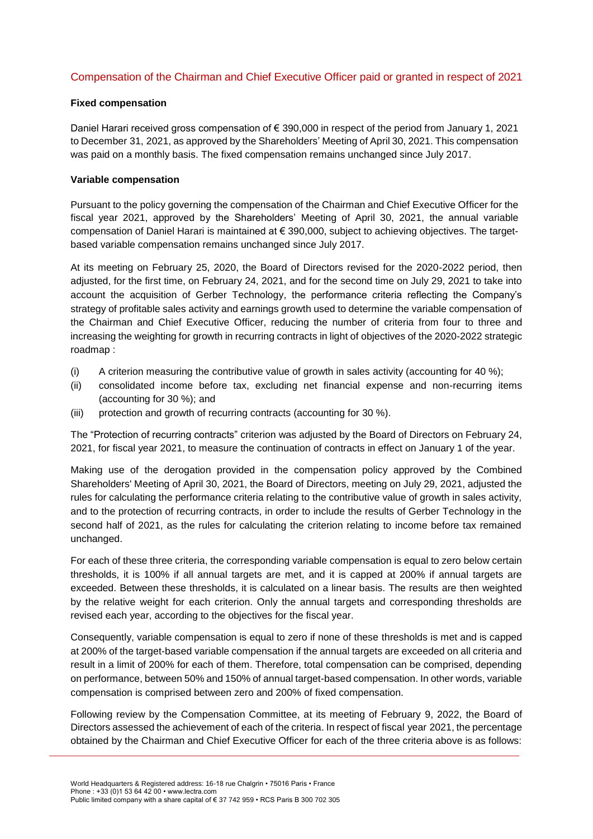## Compensation of the Chairman and Chief Executive Officer paid or granted in respect of 2021

#### **Fixed compensation**

Daniel Harari received gross compensation of € 390,000 in respect of the period from January 1, 2021 to December 31, 2021, as approved by the Shareholders' Meeting of April 30, 2021. This compensation was paid on a monthly basis. The fixed compensation remains unchanged since July 2017.

#### **Variable compensation**

Pursuant to the policy governing the compensation of the Chairman and Chief Executive Officer for the fiscal year 2021, approved by the Shareholders' Meeting of April 30, 2021, the annual variable compensation of Daniel Harari is maintained at € 390,000, subject to achieving objectives. The targetbased variable compensation remains unchanged since July 2017.

At its meeting on February 25, 2020, the Board of Directors revised for the 2020-2022 period, then adjusted, for the first time, on February 24, 2021, and for the second time on July 29, 2021 to take into account the acquisition of Gerber Technology, the performance criteria reflecting the Company's strategy of profitable sales activity and earnings growth used to determine the variable compensation of the Chairman and Chief Executive Officer, reducing the number of criteria from four to three and increasing the weighting for growth in recurring contracts in light of objectives of the 2020-2022 strategic roadmap :

- (i) A criterion measuring the contributive value of growth in sales activity (accounting for 40 %);
- (ii) consolidated income before tax, excluding net financial expense and non-recurring items (accounting for 30 %); and
- (iii) protection and growth of recurring contracts (accounting for 30 %).

The "Protection of recurring contracts" criterion was adjusted by the Board of Directors on February 24, 2021, for fiscal year 2021, to measure the continuation of contracts in effect on January 1 of the year.

Making use of the derogation provided in the compensation policy approved by the Combined Shareholders' Meeting of April 30, 2021, the Board of Directors, meeting on July 29, 2021, adjusted the rules for calculating the performance criteria relating to the contributive value of growth in sales activity, and to the protection of recurring contracts, in order to include the results of Gerber Technology in the second half of 2021, as the rules for calculating the criterion relating to income before tax remained unchanged.

For each of these three criteria, the corresponding variable compensation is equal to zero below certain thresholds, it is 100% if all annual targets are met, and it is capped at 200% if annual targets are exceeded. Between these thresholds, it is calculated on a linear basis. The results are then weighted by the relative weight for each criterion. Only the annual targets and corresponding thresholds are revised each year, according to the objectives for the fiscal year.

Consequently, variable compensation is equal to zero if none of these thresholds is met and is capped at 200% of the target-based variable compensation if the annual targets are exceeded on all criteria and result in a limit of 200% for each of them. Therefore, total compensation can be comprised, depending on performance, between 50% and 150% of annual target-based compensation. In other words, variable compensation is comprised between zero and 200% of fixed compensation.

Following review by the Compensation Committee, at its meeting of February 9, 2022, the Board of Directors assessed the achievement of each of the criteria. In respect of fiscal year 2021, the percentage obtained by the Chairman and Chief Executive Officer for each of the three criteria above is as follows: